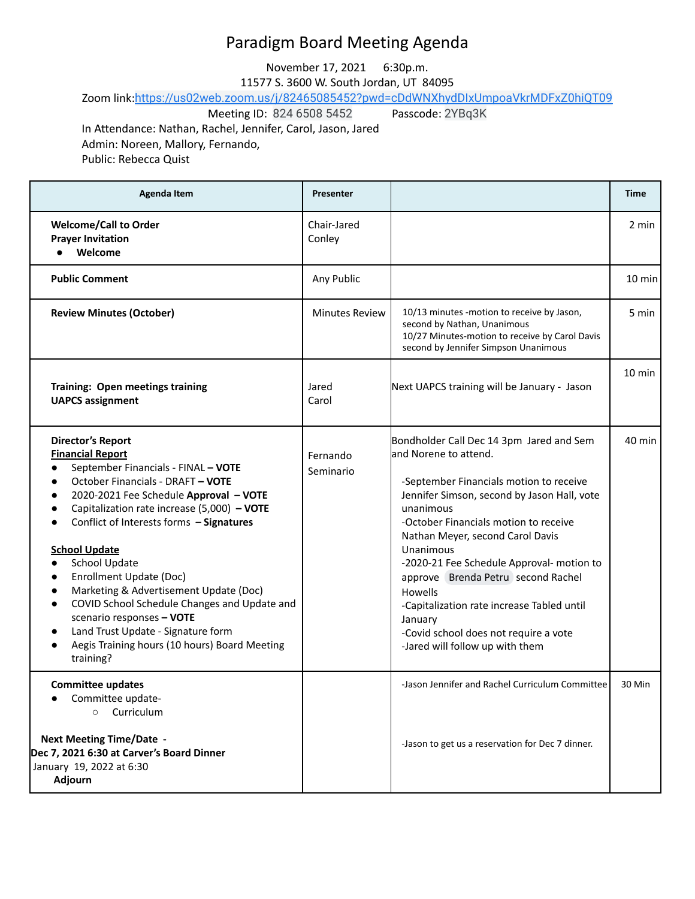## Paradigm Board Meeting Agenda

November 17, 2021 6:30p.m.

11577 S. 3600 W. South Jordan, UT 84095

Zoom link:<https://us02web.zoom.us/j/82465085452?pwd=cDdWNXhydDIxUmpoaVkrMDFxZ0hiQT09><br>Meeting ID: 824 6508 5452 Passcode: 2YBq3K

Meeting ID: 824 6508 5452

In Attendance: Nathan, Rachel, Jennifer, Carol, Jason, Jared Admin: Noreen, Mallory, Fernando, Public: Rebecca Quist

| <b>Agenda Item</b>                                                                                                                                                                                                                                                                                                                                                                                                                                                                                                                                                                                                                                                                                    | <b>Presenter</b>      |                                                                                                                                                                                                                                                                                                                                                                                                                                                                                                       | Time             |
|-------------------------------------------------------------------------------------------------------------------------------------------------------------------------------------------------------------------------------------------------------------------------------------------------------------------------------------------------------------------------------------------------------------------------------------------------------------------------------------------------------------------------------------------------------------------------------------------------------------------------------------------------------------------------------------------------------|-----------------------|-------------------------------------------------------------------------------------------------------------------------------------------------------------------------------------------------------------------------------------------------------------------------------------------------------------------------------------------------------------------------------------------------------------------------------------------------------------------------------------------------------|------------------|
| <b>Welcome/Call to Order</b><br><b>Prayer Invitation</b><br>Welcome                                                                                                                                                                                                                                                                                                                                                                                                                                                                                                                                                                                                                                   | Chair-Jared<br>Conley |                                                                                                                                                                                                                                                                                                                                                                                                                                                                                                       | 2 min            |
| <b>Public Comment</b>                                                                                                                                                                                                                                                                                                                                                                                                                                                                                                                                                                                                                                                                                 | Any Public            |                                                                                                                                                                                                                                                                                                                                                                                                                                                                                                       | $10 \text{ min}$ |
| <b>Review Minutes (October)</b>                                                                                                                                                                                                                                                                                                                                                                                                                                                                                                                                                                                                                                                                       | <b>Minutes Review</b> | 10/13 minutes -motion to receive by Jason,<br>second by Nathan, Unanimous<br>10/27 Minutes-motion to receive by Carol Davis<br>second by Jennifer Simpson Unanimous                                                                                                                                                                                                                                                                                                                                   | 5 min            |
| Training: Open meetings training<br><b>UAPCS assignment</b>                                                                                                                                                                                                                                                                                                                                                                                                                                                                                                                                                                                                                                           | Jared<br>Carol        | Next UAPCS training will be January - Jason                                                                                                                                                                                                                                                                                                                                                                                                                                                           | $10 \text{ min}$ |
| <b>Director's Report</b><br><b>Financial Report</b><br>September Financials - FINAL - VOTE<br>$\bullet$<br>October Financials - DRAFT - VOTE<br>$\bullet$<br>2020-2021 Fee Schedule Approval - VOTE<br>$\bullet$<br>Capitalization rate increase (5,000) - VOTE<br>Conflict of Interests forms - Signatures<br>$\bullet$<br><b>School Update</b><br>School Update<br>$\bullet$<br>Enrollment Update (Doc)<br>$\bullet$<br>Marketing & Advertisement Update (Doc)<br>$\bullet$<br>COVID School Schedule Changes and Update and<br>$\bullet$<br>scenario responses - VOTE<br>Land Trust Update - Signature form<br>$\bullet$<br>Aegis Training hours (10 hours) Board Meeting<br>$\bullet$<br>training? | Fernando<br>Seminario | Bondholder Call Dec 14 3pm Jared and Sem<br>and Norene to attend.<br>-September Financials motion to receive<br>Jennifer Simson, second by Jason Hall, vote<br>unanimous<br>-October Financials motion to receive<br>Nathan Meyer, second Carol Davis<br>Unanimous<br>-2020-21 Fee Schedule Approval- motion to<br>approve Brenda Petru second Rachel<br>Howells<br>-Capitalization rate increase Tabled until<br>January<br>-Covid school does not require a vote<br>-Jared will follow up with them | 40 min           |
| <b>Committee updates</b><br>Committee update-<br>Curriculum<br>$\circ$<br><b>Next Meeting Time/Date -</b><br>Dec 7, 2021 6:30 at Carver's Board Dinner<br>January 19, 2022 at 6:30<br>Adjourn                                                                                                                                                                                                                                                                                                                                                                                                                                                                                                         |                       | -Jason Jennifer and Rachel Curriculum Committee<br>-Jason to get us a reservation for Dec 7 dinner.                                                                                                                                                                                                                                                                                                                                                                                                   | 30 Min           |